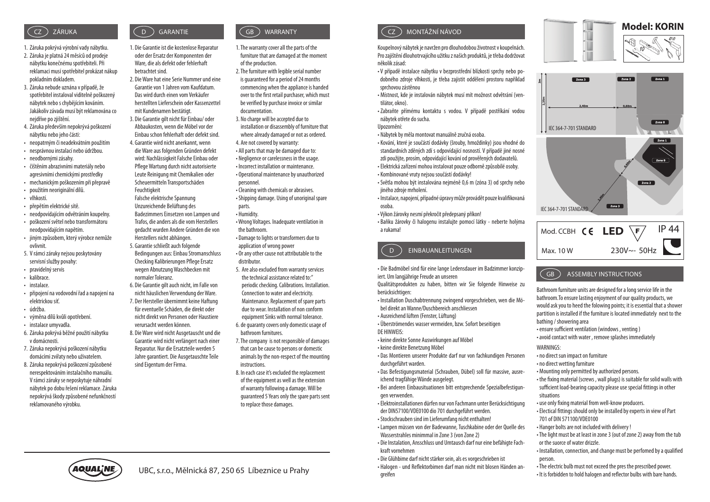- 1. Záruka pokrývá výrobní vady nábytku.
- 2. Záruka je platná 24 měsíců od prodeje nábytku konečnému spotřebiteli. Při reklamaci musí spotřebitel prokázat nákup pokladním dokladem.
- 3. Záruka nebude uznána v případě, že spotřebitel instaloval viditelně poškozený nábytek nebo s chybějícím kováním. Jakákoliv závada musí být reklamována co nejdříve po zjištění.
- 4. Záruka především nepokrývá poškození nábytku nebo jeho části:
- neopatrným či neadekvátním použitím
- nesprávnou instalací nebo údržbou.
- neodbornými zásahy.
- čištěním abrazivními materiály nebo agresivními chemickými prostředky
- mechanickým poškozením při přepravě
- použitím neoriginální dílů.
- vlhkostí.
- přepětím elektrické sítě.
- neodpovídajícím odvětráním koupelny.
- poškození světel nebo transformátoru neodpovídajícím napětím.
- jiným způsobem, který výrobce nemůže ovlivnit.
- 5. V rámci záruky nejsou poskytovány servisní služby povahy:
- pravidelný servis
- kalibrace.
- instalace.
- připojení na vodovodní řad a napojení na elektrickou síť.
- údržba.
- výměna dílů kvůli opotřebení.
- instalace umyvadla.
- 6. Záruka pokrývá běžné použití nábytku v domácnosti.
- 7. Záruka nepokrývá poškození nábytku domácími zvířaty nebo uživatelem.
- 8. Záruka nepokrývá poškození způsobené nerespektováním instalačního manuálu. V rámci záruky se neposkytuje náhradní nábytek po dobu řešení reklamace. Záruka nepokrývá škody způsobené nefunkčností reklamovaného výrobku.

#### CZ GB WARRANTY  $\left( \begin{array}{c} 0 \end{array} \right)$  GARANTIE

1. Die Garantie ist die kostenlose Reparatur oder der Ersatz der Komponenten der Ware, die als defekt oder fehlerhaft betrachtet sind.

- 2. Die Ware hat eine Serie Nummer und eine Garantie von 1 Jahren vom Kaufdatum. Das wird durch einen vom Verkäufer herstellten Lieferschein oder Kassenzettel mit Kundenamen bestätigt.
- 3. Die Garantie gilt nicht für Einbau/ oder Abbaukosten, wenn die Möbel vor der Einbau schon fehlerhaft oder defekt sind. 4. Garantie wird nicht anerkannt, wenn die Ware aus folgenden Gründen defekt wird: Nachlässigkeit Falsche Einbau oder Pflege Wartung durch nicht autorisierte Leute Reinigung mit Chemikalien oder
- Scheuermitteln Transportschäden Feuchtigkeit Falsche elektrische Spannung Unzureichende Belüftung des Badezimmers Einsetzen von Lampen und Trafos, die anders als die vom Herstellers
- gedacht wurden Andere Gründen die von Herstellers nicht abhängen. 5. Garantie schließt auch folgende Bedingungen aus: Einbau Stromanschluss Checking Kalibrierungen Pflege Ersatz
- normaler Toleranz. 6. Die Garantie gilt auch nicht, im Falle von nicht häuslichen Verwendung der Ware. 7. Der Hersteller übernimmt keine Haftung für eventuelle Schäden, die direkt oder
- nicht direkt von Personen oder Haustiere verursacht werden können. 8. Die Ware wird nicht Ausgetauscht und die
- Garantie wird nicht verlängert nach einer Reparatur. Nur die Ersatzteile werden 5 Jahre garantiert. Die Ausgetauschte Teile sind Eigentum der Firma.
- ZARUKA (D) GARANTIE (GB) WARRANTY (CZ
	- 1. The warranty cover all the parts of the furniture that are damaged at the moment of the production.
	- 2. The furniture with legible serial number is guaranteed for a period of 24 months commencing when the appliance is handed over to the first retail purchaser, which must be verified by purchase invoice or similar documentation.
	- 3. No charge will be accepted due to installation or disassembly of furniture that where already damaged or not as ordered.
	- 4. Are not covered by warranty: • All parts that may be damaged due to: • Negligence or carelessness in the usage. • Incorrect installation or maintenance.
	- Operational maintenance by unauthorized personnel.
	- Cleaning with chemicals or abrasives. • Shipping damage. Using of unoriginal spare parts.
	- Humidity.
	- Wrong Voltages. Inadequate ventilation in the bathroom.
	- Damage to lights or transformers due to application of wrong power • Or any other cause not attributable to the distributor.
	- 5. Are also excluded from warranty services the technical assistance related to:" periodic checking. Calibrations. Installation. Connection to water and electricity. Maintenance. Replacement of spare parts due to wear. Installation of non conform equipment Sinks with normal tolerance.
	- 6. de guaranty covers only domestic usage of bathroom furnitures.
	- 7. The company is not responsible of damages that can be cause to persons or domestic animals by the non-respect of the mounting instructions.
	- 8. In each case it's excluded the replacement of the equipment as well as the extension of warranty following a damage. Will be guaranteed 5 Years only the spare parts sent to replace those damages.



Koupelnový nábytek je navržen pro dlouhodobou životnost v koupelnách. Pro zajištění dlouhotrvajícího užitku z našich produktů, je třeba dodržovat několik zásad:

• V případě instalace nábytku v bezprostřední blízkosti sprchy nebo podobného zdroje vlhkosti, je třeba zajistit oddělení prostoru například sprchovou zástěnou

• Místnost, kde je instalován nábytek musí mít možnost odvětrání (ventilátor, okno).

• Zabraňte přímému kontaktu s vodou. V případě postříkání vodou nábytek otřete do sucha.

Upozornění:

• Nábytek by měla montovat manuálně zručná osoba.

• Kování, které je součástí dodávky (šrouby, hmoždinky) jsou vhodné do standardních zděných zdí s odpovídající nosností. V případě jiné nosné zdi použijte, prosím, odpovídající kování od prověřených dodavatelů. • Elektrická zařízení mohou instalovat pouze odborně způsobilé osoby. • Kombinované vruty nejsou součástí dodávky!

• Světla mohou být instalována nejméně 0,6 m (zóna 3) od sprchy nebo jiného zdroje mrholení.

• Instalace, napojení, případné úpravy může provádět pouze kvalifikovaná osoba.

• Výkon žárovky nesmí překročit předepsaný příkon!

• Baňku žárovky či halogenu instalujte pomocí látky - neberte holýma a rukama!

## EINBAUANLEITUNGEN  $($  D

• Die Badmöbel sind für eine lange Ledensdauer im Badzimmer konzipiert. Um langjährige Freude an unseren

Qualitätsprodukten zu haben, bitten wir Sie folgende Hinweise zu berücksichtigen:

• Installation Duschabtrennung zwingend vorgeschrieben, wen die Möbel direkt an Wanne/Duschbereich anschliessen

• Ausreichend lüften (Fenster, Lüftung)

• Überströmendes wasser vermeiden, bzw. Sofort beseitigen DE HINWEIS:

- keine direkte Sonne Auswirkungen auf Möbel
- keine direkte Benetzung Möbel

• Das Montieren unserer Produkte darf nur von fachkundigen Personen durchgeführt warden.

• Das Befestigungsmaterial (Schrauben, Dübel) soll für massive, ausreichend tragfähige Wände ausgelegt.

• Bei anderen Einbausituationen bitt entsprechende Spezialbefestigungen verwenden.

• Elektroinstallationen dürfen nur von Fachmann unter Berücksichtigung der DIN57100/VDE0100 dio 701 durchgeführt werden.

• Stockschrauben sind im Lieferumfang nicht enthalten! • Lampen mü ssen von der Badewanne, Tuschkabine oder der Quelle des

Wasserstrahles minimmal in Zone 3 (von Zone 2) • Die Instalation, Ansschluss und Umtausch darf nur eine befähigte Fachkraft vornehmen

• Die Glü hbime darf nicht stärker sein, als es vorgeschrieben ist • Halogen - und Reflektorbimen darf man nicht mit blosen Händen angreifen









#### ASSEMBLY INSTRUCTIONS  $\zeta$  GB  $\tilde{\phantom{a}}$

Bathroom furniture units are designed for a long service life in the bathroom.To ensure lasting enjoyment of our quality products, we would ask you to heed the folowing points; it is essential that a shower partition is installed if the furniture is located immediately next to the bathing / showering area

- ensure sufficient ventilation (windows, venting)
- avoid contact with water , remove splashes immediately

WARNINGS:

- no direct sun impact on furniture
- no direct wetting furniture
- Mounting only permitted by authorized persons.

• the fixing material (screws, wall plugs) is suitable for solid walls with sufficient load-bearing capacity please use special fittings in other situations

- use only fixing material from well-know producers.
- Electical fittings should only be installed by experts in view of Part 701 of DIN 571100/VDE0100
- Hanger bolts are not included with delivery !
- The light must be at least in zone 3 (out of zone 2) away from the tub or the suorce of water drizzle.
- Installation, connection, and change must be perfomed by a qualified person.
- The electric bulb must not exceed the pres the prescribed power.
- It is forbidden to hold halogen and reflector bulbs with bare hands.



wegen Abnutzung Waschbecken mit